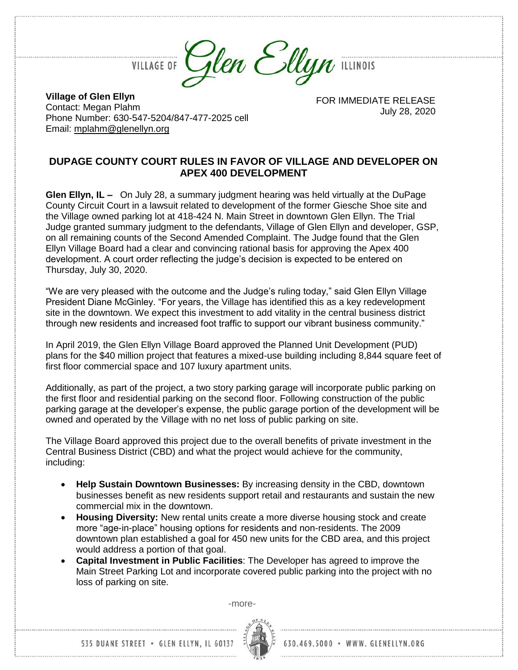Glen Ellyn ILLINOIS

**VILLAGE OF** 

**Village of Glen Ellyn** Contact: Megan Plahm Phone Number: 630-547-5204/847-477-2025 cell Email: [mplahm@glenellyn.org](mailto:mplahm@glenellyn.org)

FOR IMMEDIATE RELEASE July 28, 2020

## **DUPAGE COUNTY COURT RULES IN FAVOR OF VILLAGE AND DEVELOPER ON APEX 400 DEVELOPMENT**

**Glen Ellyn, IL –** On July 28, a summary judgment hearing was held virtually at the DuPage County Circuit Court in a lawsuit related to development of the former Giesche Shoe site and the Village owned parking lot at 418-424 N. Main Street in downtown Glen Ellyn. The Trial Judge granted summary judgment to the defendants, Village of Glen Ellyn and developer, GSP, on all remaining counts of the Second Amended Complaint. The Judge found that the Glen Ellyn Village Board had a clear and convincing rational basis for approving the Apex 400 development. A court order reflecting the judge's decision is expected to be entered on Thursday, July 30, 2020.

"We are very pleased with the outcome and the Judge's ruling today," said Glen Ellyn Village President Diane McGinley. "For years, the Village has identified this as a key redevelopment site in the downtown. We expect this investment to add vitality in the central business district through new residents and increased foot traffic to support our vibrant business community."

In April 2019, the Glen Ellyn Village Board approved the Planned Unit Development (PUD) plans for the \$40 million project that features a mixed-use building including 8,844 square feet of first floor commercial space and 107 luxury apartment units.

Additionally, as part of the project, a two story parking garage will incorporate public parking on the first floor and residential parking on the second floor. Following construction of the public parking garage at the developer's expense, the public garage portion of the development will be owned and operated by the Village with no net loss of public parking on site.

The Village Board approved this project due to the overall benefits of private investment in the Central Business District (CBD) and what the project would achieve for the community, including:

- **Help Sustain Downtown Businesses:** By increasing density in the CBD, downtown businesses benefit as new residents support retail and restaurants and sustain the new commercial mix in the downtown.
- **Housing Diversity:** New rental units create a more diverse housing stock and create more "age-in-place" housing options for residents and non-residents. The 2009 downtown plan established a goal for 450 new units for the CBD area, and this project would address a portion of that goal.
- **Capital Investment in Public Facilities**: The Developer has agreed to improve the Main Street Parking Lot and incorporate covered public parking into the project with no loss of parking on site.

-more-



630.469.5000 · WWW. GLENELLYN.ORG